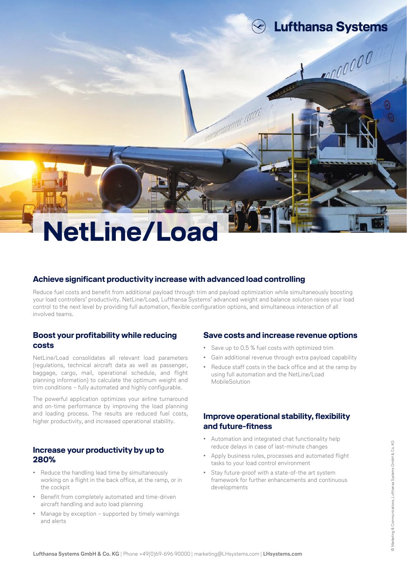# **NetLine/Load**

#### **Achieve significant productivity increase with advanced load controlling**

Reduce fuel costs and benefit from additional payload through trim and payload optimization while simultaneously boosting your load controllers' productivity. NetLine/Load, Lufthansa Systems' advanced weight and balance solution raises your load control to the next level by providing full automation, flexible configuration options, and simultaneous interaction of all involved teams.

amandonana acco

#### **Boost your profitability while reducing costs**

NetLine/Load consolidates all relevant load parameters (regulations, technical aircraft data as well as passenger, baggage, cargo, mail, operational schedule, and flight planning information) to calculate the optimum weight and trim conditions – fully automated and highly configurable.

The powerful application optimizes your airline turnaround and on-time performance by improving the load planning and loading process. The results are reduced fuel costs, higher productivity, and increased operational stability.

#### **Increase your productivity by up to 280%**

- Reduce the handling lead time by simultaneously working on a flight in the back office, at the ramp, or in the cockpit
- Benefit from completely automated and time-driven aircraft handling and auto load planning
- Manage by exception supported by timely warnings and alerts

#### **Save costs and increase revenue options**

**Lufthansa Systems** 

100000

- Save up to 0.5 % fuel costs with optimized trim
- Gain additional revenue through extra payload capability
- Reduce staff costs in the back office and at the ramp by using full automation and the NetLine/Load MobileSolution

## **Improve operational stability, flexibility and future-fitness**

- Automation and integrated chat functionality help reduce delays in case of last-minute changes
- Apply business rules, processes and automated flight tasks to your load control environment
- Stay future-proof with a state-of-the art system framework for further enhancements and continuous developments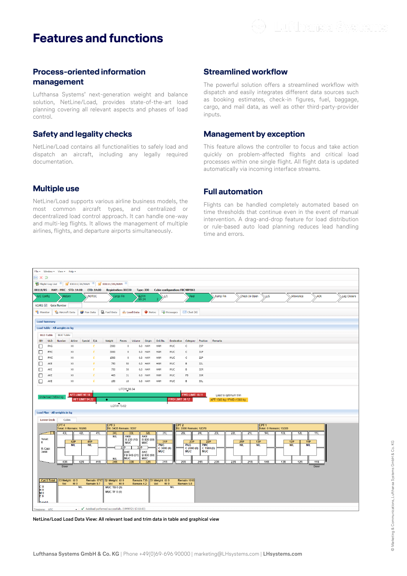# **Features and functions**



#### **Process-oriented information management**

Lufthansa Systems' next-generation weight and balance solution, NetLine/Load, provides state-of-the-art load planning covering all relevant aspects and phases of load control.

## **Safety and legality checks**

NetLine/Load contains all functionalities to safely load and dispatch an aircraft, including any legally required documentation.

## **Multiple use**

NetLine/Load supports various airline business models, the most common aircraft types, and centralized or decentralized load control approach. It can handle one-way and multi-leg flights. It allows the management of multiple airlines, flights, and departure airports simultaneously.

#### **Streamlined workflow**

The powerful solution offers a streamlined workflow with dispatch and easily integrates different data sources such as booking estimates, check-in figures, fuel, baggage, cargo, and mail data, as well as other third-party-provider inputs.

#### **Management by exception**

This feature allows the controller to focus and take action quickly on problem-affected flights and critical load processes within one single flight. All flight data is updated automatically via incoming interface streams.

#### **Full automation**

Flights can be handled completely automated based on time thresholds that continue even in the event of manual intervention. A drag-and-drop feature for load distribution or rule-based auto load planning reduces lead handling time and errors.



**NetLine/Load Load Data View: All relevant load and trim data in table and graphical view**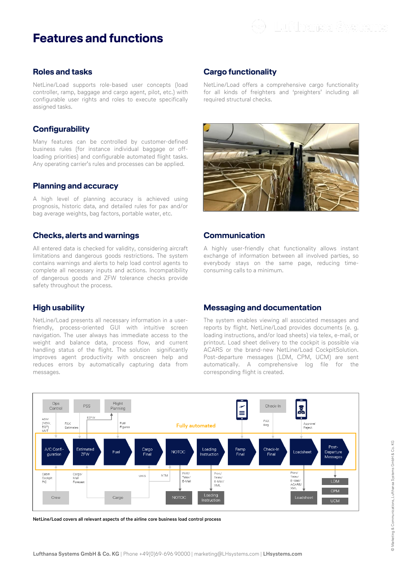

#### **Roles and tasks**

NetLine/Load supports role-based user concepts (load controller, ramp, baggage and cargo agent, pilot, etc.) with configurable user rights and roles to execute specifically assigned tasks.

#### **Configurability**

Many features can be controlled by customer-defined business rules (for instance individual baggage or offloading priorities) and configurable automated flight tasks. Any operating carrier's rules and processes can be applied.

#### **Planning and accuracy**

A high level of planning accuracy is achieved using prognosis, historic data, and detailed rules for pax and/or bag average weights, bag factors, portable water, etc.

#### **Checks, alerts and warnings**

All entered data is checked for validity, considering aircraft limitations and dangerous goods restrictions. The system contains warnings and alerts to help load control agents to complete all necessary inputs and actions. Incompatibility of dangerous goods and ZFW tolerance checks provide safety throughout the process.

#### **High usability**

NetLine/Load presents all necessary information in a userfriendly, process-oriented GUI with intuitive screen navigation. The user always has immediate access to the weight and balance data, process flow, and current handling status of the flight. The solution significantly improves agent productivity with onscreen help and reduces errors by automatically capturing data from messages.

## **Cargo functionality**

NetLine/Load offers a comprehensive cargo functionality for all kinds of freighters and 'preighters' including all required structural checks.



#### **Communication**

A highly user-friendly chat functionality allows instant exchange of information between all involved parties, so everybody stays on the same page, reducing timeconsuming calls to a minimum.

#### **Messaging and documentation**

The system enables viewing all associated messages and reports by flight. NetLine/Load provides documents (e. g. loading instructions, and/or load sheets) via telex, e-mail, or printout. Load sheet delivery to the cockpit is possible via ACARS or the brand-new NetLine/Load CockpitSolution. Post-departure messages (LDM, CPM, UCM) are sent automatically. A comprehensive log file for the corresponding flight is created.



**NetLine/Load covers all relevant aspects of the airline core business load control process**